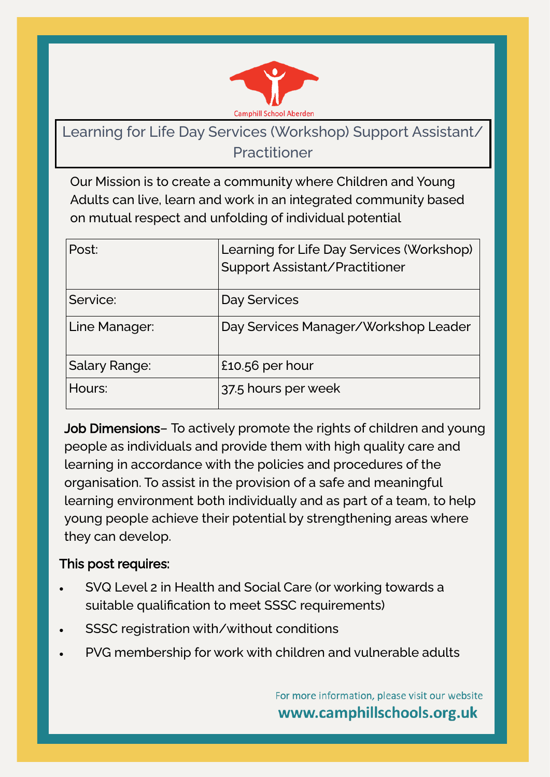

# Learning for Life Day Services (Workshop) Support Assistant/ Practitioner

Our Mission is to create a community where Children and Young Adults can live, learn and work in an integrated community based on mutual respect and unfolding of individual potential

| Post:         | Learning for Life Day Services (Workshop)<br>Support Assistant/Practitioner |
|---------------|-----------------------------------------------------------------------------|
| Service:      | Day Services                                                                |
| Line Manager: | Day Services Manager/Workshop Leader                                        |
| Salary Range: | £10.56 per hour                                                             |
| Hours:        | 37.5 hours per week                                                         |

Job Dimensions- To actively promote the rights of children and young people as individuals and provide them with high quality care and learning in accordance with the policies and procedures of the organisation. To assist in the provision of a safe and meaningful learning environment both individually and as part of a team, to help young people achieve their potential by strengthening areas where they can develop.

#### This post requires:

- SVQ Level 2 in Health and Social Care (or working towards a suitable qualification to meet SSSC requirements)
- SSSC registration with/without conditions
- PVG membership for work with children and vulnerable adults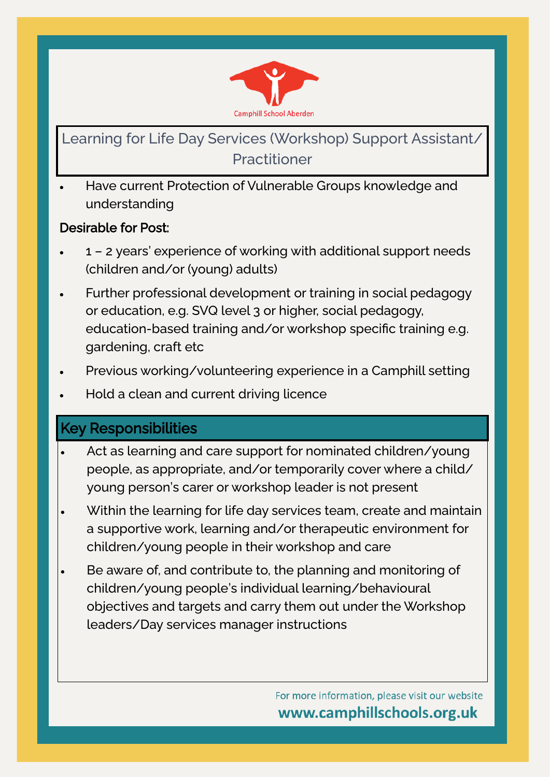

# Learning for Life Day Services (Workshop) Support Assistant, **Practitioner**

• Have current Protection of Vulnerable Groups knowledge and understanding

#### Desirable for Post:

- 1 2 years' experience of working with additional support needs (children and/or (young) adults)
- Further professional development or training in social pedagogy or education, e.g. SVQ level 3 or higher, social pedagogy, education-based training and/or workshop specific training e.g. gardening, craft etc
- Previous working/volunteering experience in a Camphill setting
- Hold a clean and current driving licence

## Key Responsibilities

- Act as learning and care support for nominated children/young people, as appropriate, and/or temporarily cover where a child/ young person's carer or workshop leader is not present
- Within the learning for life day services team, create and maintain a supportive work, learning and/or therapeutic environment for children/young people in their workshop and care
- Be aware of, and contribute to, the planning and monitoring of children/young people's individual learning/behavioural objectives and targets and carry them out under the Workshop leaders/Day services manager instructions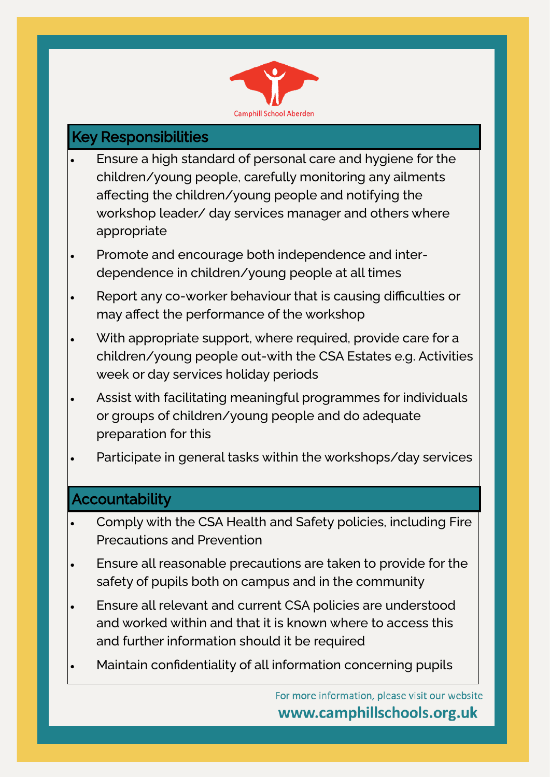

## Key Responsibilities

- Ensure a high standard of personal care and hygiene for the children/young people, carefully monitoring any ailments affecting the children/young people and notifying the workshop leader/ day services manager and others where appropriate
- Promote and encourage both independence and interdependence in children/young people at all times
- Report any co-worker behaviour that is causing difficulties or may affect the performance of the workshop
- With appropriate support, where required, provide care for a children/young people out-with the CSA Estates e.g. Activities week or day services holiday periods
- Assist with facilitating meaningful programmes for individuals or groups of children/young people and do adequate preparation for this
- Participate in general tasks within the workshops/day services

### **Accountability**

- Comply with the CSA Health and Safety policies, including Fire Precautions and Prevention
- Ensure all reasonable precautions are taken to provide for the safety of pupils both on campus and in the community
- Ensure all relevant and current CSA policies are understood and worked within and that it is known where to access this and further information should it be required
- Maintain confidentiality of all information concerning pupils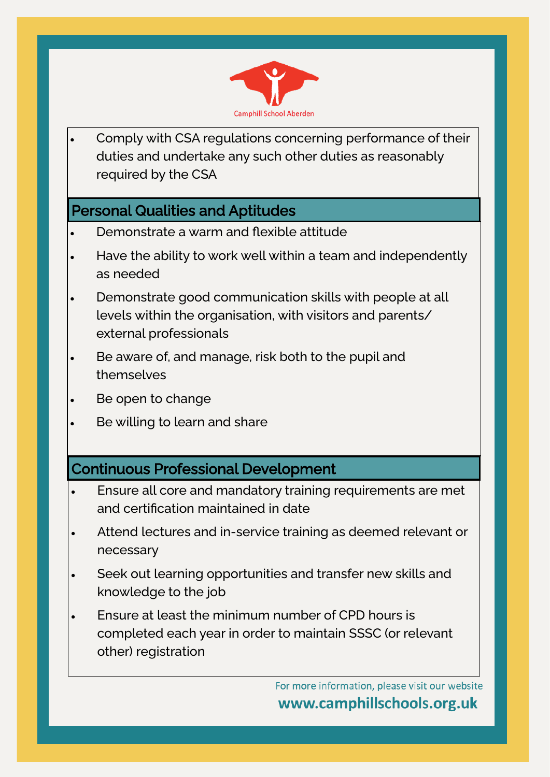

• Comply with CSA regulations concerning performance of their duties and undertake any such other duties as reasonably required by the CSA

### Personal Qualities and Aptitudes

- Demonstrate a warm and flexible attitude
- Have the ability to work well within a team and independently as needed
- Demonstrate good communication skills with people at all levels within the organisation, with visitors and parents/ external professionals
- Be aware of, and manage, risk both to the pupil and themselves
- Be open to change
- Be willing to learn and share

## Continuous Professional Development

- Ensure all core and mandatory training requirements are met and certification maintained in date
- Attend lectures and in-service training as deemed relevant or necessary
- Seek out learning opportunities and transfer new skills and knowledge to the job
- Ensure at least the minimum number of CPD hours is completed each year in order to maintain SSSC (or relevant other) registration